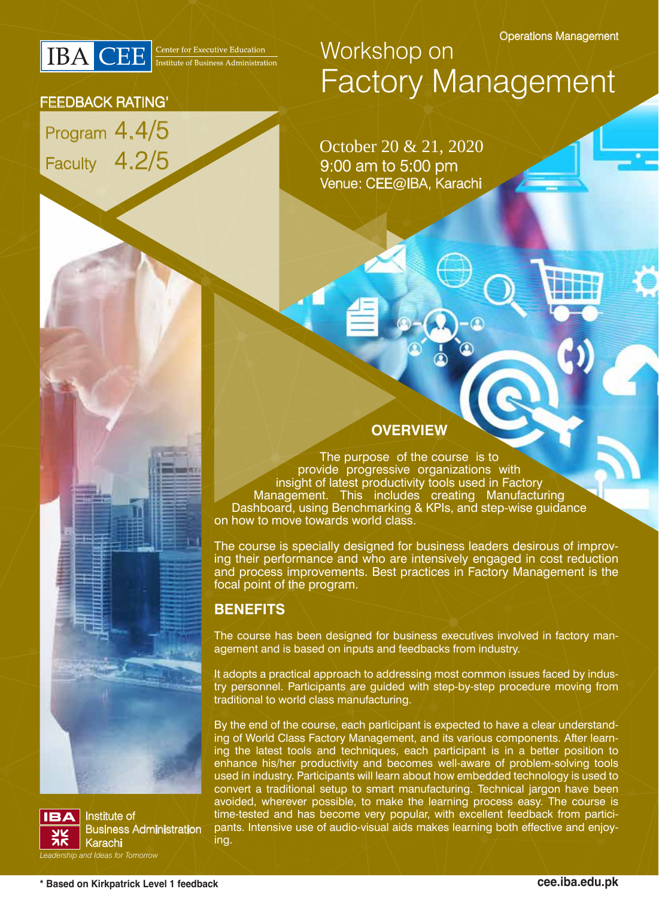

Program 4.4/5

FEEDBACK RATING'

Faculty 4.2/5

## Workshop on Factory Management

9:00 am to 5:00 pm Venue: CEE@IBA, Karachi October 20 & 21, 2020

#### **OVERVIEW**

The purpose of the course is to provide progressive organizations with insight of latest productivity tools used in Factory Management. This includes creating Manufacturing Dashboard, using Benchmarking & KPIs, and step-wise guidance on how to move towards world class.

The course is specially designed for business leaders desirous of improving their performance and who are intensively engaged in cost reduction and process improvements. Best practices in Factory Management is the focal point of the program.

#### **BENEFITS**

The course has been designed for business executives involved in factory management and is based on inputs and feedbacks from industry.

It adopts a practical approach to addressing most common issues faced by industry personnel. Participants are guided with step-by-step procedure moving from traditional to world class manufacturing.

By the end of the course, each participant is expected to have a clear understanding of World Class Factory Management, and its various components. After learning the latest tools and techniques, each participant is in a better position to enhance his/her productivity and becomes well-aware of problem-solving tools used in industry. Participants will learn about how embedded technology is used to convert a traditional setup to smart manufacturing. Technical jargon have been avoided, wherever possible, to make the learning process easy. The course is time-tested and has become very popular, with excellent feedback from participants. Intensive use of audio-visual aids makes learning both effective and enjoying.